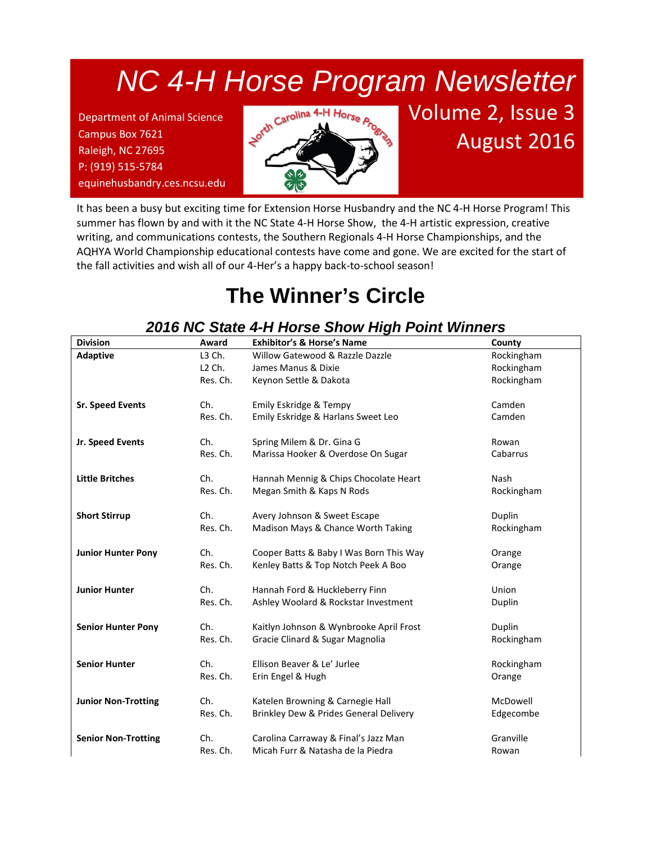# *NC 4-H Horse Program Newsletter*

*NCSU Extension Horse Husbandry* P: (919) 515-5784 Department of Animal Science Campus Box 7621 Raleigh, NC 27695 equinehusbandry.ces.ncsu.edu



# Volume 2, Issue 3 August 2016

It has been a busy but exciting time for Extension Horse Husbandry and the NC 4-H Horse Program! This summer has flown by and with it the NC State 4-H Horse Show, the 4-H artistic expression, creative writing, and communications contests, the Southern Regionals 4-H Horse Championships, and the AQHYA World Championship educational contests have come and gone. We are excited for the start of the fall activities and wish all of our 4-Her's a happy back-to-school season!

## **The Winner's Circle**

#### *2016 NC State 4-H Horse Show High Point Winners*

| <b>Division</b>            | Award              | <b>Exhibitor's &amp; Horse's Name</b>   | County      |
|----------------------------|--------------------|-----------------------------------------|-------------|
| <b>Adaptive</b>            | L3 Ch.             | Willow Gatewood & Razzle Dazzle         | Rockingham  |
|                            | L <sub>2</sub> Ch. | James Manus & Dixie                     | Rockingham  |
|                            | Res. Ch.           | Keynon Settle & Dakota                  | Rockingham  |
|                            |                    |                                         |             |
| <b>Sr. Speed Events</b>    | Ch.                | Emily Eskridge & Tempy                  | Camden      |
|                            | Res. Ch.           | Emily Eskridge & Harlans Sweet Leo      | Camden      |
| Jr. Speed Events           | Ch.                | Spring Milem & Dr. Gina G               | Rowan       |
|                            | Res. Ch.           | Marissa Hooker & Overdose On Sugar      | Cabarrus    |
|                            |                    |                                         |             |
| <b>Little Britches</b>     | Ch.                | Hannah Mennig & Chips Chocolate Heart   | <b>Nash</b> |
|                            | Res. Ch.           | Megan Smith & Kaps N Rods               | Rockingham  |
|                            |                    |                                         |             |
| <b>Short Stirrup</b>       | Ch.                | Avery Johnson & Sweet Escape            | Duplin      |
|                            | Res. Ch.           | Madison Mays & Chance Worth Taking      | Rockingham  |
| <b>Junior Hunter Pony</b>  | Ch.                | Cooper Batts & Baby I Was Born This Way | Orange      |
|                            | Res. Ch.           | Kenley Batts & Top Notch Peek A Boo     | Orange      |
|                            |                    |                                         |             |
| <b>Junior Hunter</b>       | Ch.                | Hannah Ford & Huckleberry Finn          | Union       |
|                            | Res. Ch.           | Ashley Woolard & Rockstar Investment    | Duplin      |
| <b>Senior Hunter Pony</b>  | Ch.                | Kaitlyn Johnson & Wynbrooke April Frost | Duplin      |
|                            | Res. Ch.           | Gracie Clinard & Sugar Magnolia         | Rockingham  |
|                            |                    |                                         |             |
| <b>Senior Hunter</b>       | Ch.                | Ellison Beaver & Le' Jurlee             | Rockingham  |
|                            | Res. Ch.           | Erin Engel & Hugh                       | Orange      |
| <b>Junior Non-Trotting</b> | Ch.                | Katelen Browning & Carnegie Hall        | McDowell    |
|                            | Res. Ch.           | Brinkley Dew & Prides General Delivery  | Edgecombe   |
|                            |                    |                                         |             |
| <b>Senior Non-Trotting</b> | Ch.                | Carolina Carraway & Final's Jazz Man    | Granville   |
|                            | Res. Ch.           | Micah Furr & Natasha de la Piedra       | Rowan       |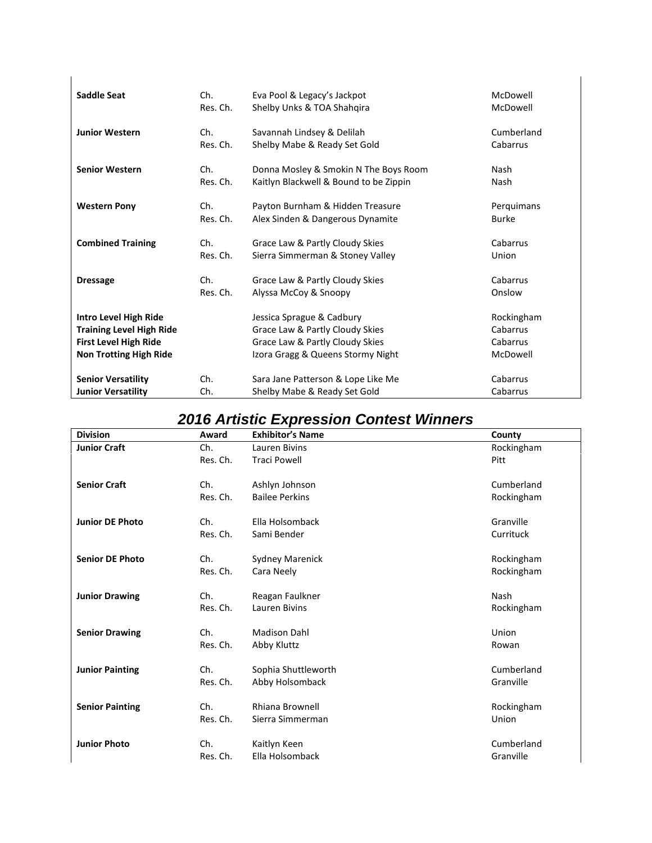| <b>Saddle Seat</b>              | Ch.      | Eva Pool & Legacy's Jackpot            | McDowell     |
|---------------------------------|----------|----------------------------------------|--------------|
|                                 | Res. Ch. | Shelby Unks & TOA Shahqira             | McDowell     |
| <b>Junior Western</b>           | Ch.      | Savannah Lindsey & Delilah             | Cumberland   |
|                                 | Res. Ch. | Shelby Mabe & Ready Set Gold           | Cabarrus     |
| <b>Senior Western</b>           | Ch.      | Donna Mosley & Smokin N The Boys Room  | Nash         |
|                                 | Res. Ch. | Kaitlyn Blackwell & Bound to be Zippin | Nash         |
| <b>Western Pony</b>             | Ch.      | Payton Burnham & Hidden Treasure       | Perquimans   |
|                                 | Res. Ch. | Alex Sinden & Dangerous Dynamite       | <b>Burke</b> |
| <b>Combined Training</b>        | Ch.      | Grace Law & Partly Cloudy Skies        | Cabarrus     |
|                                 | Res. Ch. | Sierra Simmerman & Stoney Valley       | Union        |
| <b>Dressage</b>                 | Ch.      | Grace Law & Partly Cloudy Skies        | Cabarrus     |
|                                 | Res. Ch. | Alyssa McCoy & Snoopy                  | Onslow       |
| Intro Level High Ride           |          | Jessica Sprague & Cadbury              | Rockingham   |
| <b>Training Level High Ride</b> |          | Grace Law & Partly Cloudy Skies        | Cabarrus     |
| <b>First Level High Ride</b>    |          | Grace Law & Partly Cloudy Skies        | Cabarrus     |
| <b>Non Trotting High Ride</b>   |          | Izora Gragg & Queens Stormy Night      | McDowell     |
| <b>Senior Versatility</b>       | Ch.      | Sara Jane Patterson & Lope Like Me     | Cabarrus     |
| <b>Junior Versatility</b>       | Ch.      | Shelby Mabe & Ready Set Gold           | Cabarrus     |

#### *2016 Artistic Expression Contest Winners*

| <b>Division</b>        | Award    | <b>Exhibitor's Name</b> | County      |
|------------------------|----------|-------------------------|-------------|
| <b>Junior Craft</b>    | Ch.      | Lauren Bivins           | Rockingham  |
|                        | Res. Ch. | <b>Traci Powell</b>     | Pitt        |
| <b>Senior Craft</b>    | Ch.      | Ashlyn Johnson          | Cumberland  |
|                        | Res. Ch. | <b>Bailee Perkins</b>   | Rockingham  |
| <b>Junior DE Photo</b> | Ch.      | Ella Holsomback         | Granville   |
|                        | Res. Ch. | Sami Bender             | Currituck   |
| <b>Senior DE Photo</b> | Ch.      | <b>Sydney Marenick</b>  | Rockingham  |
|                        | Res. Ch. | Cara Neely              | Rockingham  |
| <b>Junior Drawing</b>  | Ch.      | Reagan Faulkner         | <b>Nash</b> |
|                        | Res. Ch. | Lauren Bivins           | Rockingham  |
| <b>Senior Drawing</b>  | Ch.      | <b>Madison Dahl</b>     | Union       |
|                        | Res. Ch. | Abby Kluttz             | Rowan       |
| <b>Junior Painting</b> | Ch.      | Sophia Shuttleworth     | Cumberland  |
|                        | Res. Ch. | Abby Holsomback         | Granville   |
| <b>Senior Painting</b> | Ch.      | Rhiana Brownell         | Rockingham  |
|                        | Res. Ch. | Sierra Simmerman        | Union       |
| <b>Junior Photo</b>    | Ch.      | Kaitlyn Keen            | Cumberland  |
|                        | Res. Ch. | Ella Holsomback         | Granville   |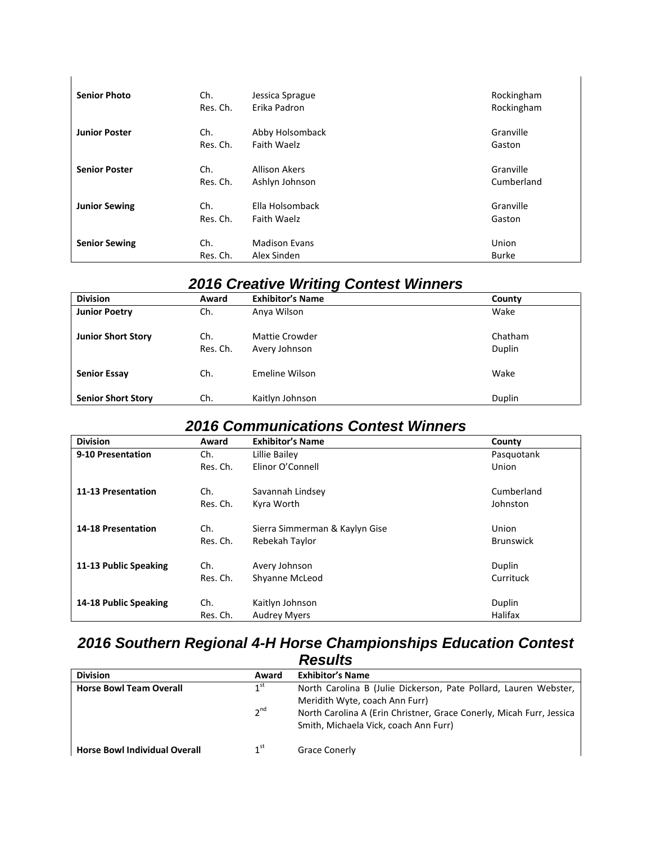| <b>Senior Photo</b>  | Ch.      | Jessica Sprague      | Rockingham   |
|----------------------|----------|----------------------|--------------|
|                      | Res. Ch. | Erika Padron         | Rockingham   |
| <b>Junior Poster</b> | Ch.      | Abby Holsomback      | Granville    |
|                      | Res. Ch. | Faith Waelz          | Gaston       |
| <b>Senior Poster</b> | Ch.      | <b>Allison Akers</b> | Granville    |
|                      | Res. Ch. | Ashlyn Johnson       | Cumberland   |
| <b>Junior Sewing</b> | Ch.      | Ella Holsomback      | Granville    |
|                      | Res. Ch. | <b>Faith Waelz</b>   | Gaston       |
| <b>Senior Sewing</b> | Ch.      | <b>Madison Evans</b> | Union        |
|                      | Res. Ch. | Alex Sinden          | <b>Burke</b> |

#### *2016 Creative Writing Contest Winners*

| <b>Division</b>           | Award           | <b>Exhibitor's Name</b>         | County            |
|---------------------------|-----------------|---------------------------------|-------------------|
| <b>Junior Poetry</b>      | Ch.             | Anya Wilson                     | Wake              |
| <b>Junior Short Story</b> | Ch.<br>Res. Ch. | Mattie Crowder<br>Avery Johnson | Chatham<br>Duplin |
| <b>Senior Essay</b>       | Ch.             | Emeline Wilson                  | Wake              |
| <b>Senior Short Story</b> | Ch.             | Kaitlyn Johnson                 | Duplin            |

#### *2016 Communications Contest Winners*

| <b>Division</b>           | Award    | <b>Exhibitor's Name</b>        | County           |
|---------------------------|----------|--------------------------------|------------------|
| 9-10 Presentation         | Ch.      | Lillie Bailey                  | Pasquotank       |
|                           | Res. Ch. | Elinor O'Connell               | Union            |
| 11-13 Presentation        | Ch.      | Savannah Lindsey               | Cumberland       |
|                           | Res. Ch. | Kyra Worth                     | Johnston         |
| <b>14-18 Presentation</b> | Ch.      | Sierra Simmerman & Kaylyn Gise | Union            |
|                           | Res. Ch. | Rebekah Taylor                 | <b>Brunswick</b> |
| 11-13 Public Speaking     | Ch.      | Avery Johnson                  | Duplin           |
|                           | Res. Ch. | Shyanne McLeod                 | Currituck        |
| 14-18 Public Speaking     | Ch.      | Kaitlyn Johnson                | Duplin           |
|                           | Res. Ch. | <b>Audrey Myers</b>            | Halifax          |

#### *2016 Southern Regional 4-H Horse Championships Education Contest Results*

| <b>Division</b>                      | Award           | <b>Exhibitor's Name</b>                                              |
|--------------------------------------|-----------------|----------------------------------------------------------------------|
| <b>Horse Bowl Team Overall</b>       | 1 <sup>st</sup> | North Carolina B (Julie Dickerson, Pate Pollard, Lauren Webster,     |
|                                      |                 | Meridith Wyte, coach Ann Furr)                                       |
|                                      | $2^{nd}$        | North Carolina A (Erin Christner, Grace Conerly, Micah Furr, Jessica |
|                                      |                 | Smith, Michaela Vick, coach Ann Furr)                                |
|                                      |                 |                                                                      |
| <b>Horse Bowl Individual Overall</b> | 1 <sup>st</sup> | Grace Conerly                                                        |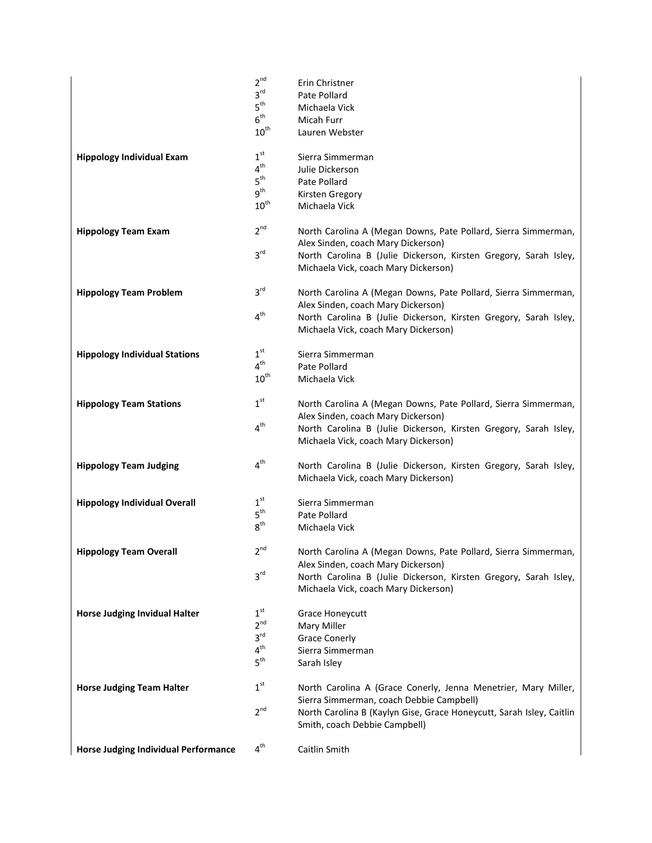|                                             | $2^{nd}$<br>$3^{\text{rd}}$        | Erin Christner<br>Pate Pollard                                                                           |
|---------------------------------------------|------------------------------------|----------------------------------------------------------------------------------------------------------|
|                                             | $5^{\text{th}}$                    | Michaela Vick                                                                                            |
|                                             | $6^{\text{th}}$                    | Micah Furr                                                                                               |
|                                             | $10^{\text{th}}$                   | Lauren Webster                                                                                           |
| <b>Hippology Individual Exam</b>            | 1 <sup>st</sup>                    | Sierra Simmerman                                                                                         |
|                                             | 4 <sup>th</sup>                    | Julie Dickerson                                                                                          |
|                                             | $5^{\text{th}}$<br>$g^{th}$        | Pate Pollard                                                                                             |
|                                             | $10^{\text{th}}$                   | Kirsten Gregory<br>Michaela Vick                                                                         |
| <b>Hippology Team Exam</b>                  | $2^{nd}$                           | North Carolina A (Megan Downs, Pate Pollard, Sierra Simmerman,                                           |
|                                             | 3 <sup>rd</sup>                    | Alex Sinden, coach Mary Dickerson)                                                                       |
|                                             |                                    | North Carolina B (Julie Dickerson, Kirsten Gregory, Sarah Isley,<br>Michaela Vick, coach Mary Dickerson) |
| <b>Hippology Team Problem</b>               | 3 <sup>rd</sup>                    | North Carolina A (Megan Downs, Pate Pollard, Sierra Simmerman,<br>Alex Sinden, coach Mary Dickerson)     |
|                                             | 4 <sup>th</sup>                    | North Carolina B (Julie Dickerson, Kirsten Gregory, Sarah Isley,                                         |
|                                             |                                    | Michaela Vick, coach Mary Dickerson)                                                                     |
| <b>Hippology Individual Stations</b>        | 1 <sup>st</sup><br>$4^{\text{th}}$ | Sierra Simmerman<br>Pate Pollard                                                                         |
|                                             | $10^{\text{th}}$                   | Michaela Vick                                                                                            |
|                                             |                                    |                                                                                                          |
| <b>Hippology Team Stations</b>              | 1 <sup>st</sup>                    | North Carolina A (Megan Downs, Pate Pollard, Sierra Simmerman,<br>Alex Sinden, coach Mary Dickerson)     |
|                                             | 4 <sup>th</sup>                    | North Carolina B (Julie Dickerson, Kirsten Gregory, Sarah Isley,                                         |
|                                             |                                    | Michaela Vick, coach Mary Dickerson)                                                                     |
| <b>Hippology Team Judging</b>               | 4 <sup>th</sup>                    | North Carolina B (Julie Dickerson, Kirsten Gregory, Sarah Isley,<br>Michaela Vick, coach Mary Dickerson) |
| <b>Hippology Individual Overall</b>         | 1 <sup>st</sup>                    | Sierra Simmerman                                                                                         |
|                                             | 5 <sup>th</sup>                    | Pate Pollard                                                                                             |
|                                             | 8 <sup>th</sup>                    | Michaela Vick                                                                                            |
| <b>Hippology Team Overall</b>               | 2 <sup>nd</sup>                    | North Carolina A (Megan Downs, Pate Pollard, Sierra Simmerman,<br>Alex Sinden, coach Mary Dickerson)     |
|                                             | 3 <sup>rd</sup>                    | North Carolina B (Julie Dickerson, Kirsten Gregory, Sarah Isley,                                         |
|                                             |                                    | Michaela Vick, coach Mary Dickerson)                                                                     |
| <b>Horse Judging Invidual Halter</b>        | 1 <sup>st</sup>                    | Grace Honeycutt                                                                                          |
|                                             | $2^{nd}$                           | Mary Miller                                                                                              |
|                                             | 3 <sup>rd</sup>                    | <b>Grace Conerly</b>                                                                                     |
|                                             | 4 <sup>th</sup>                    | Sierra Simmerman                                                                                         |
|                                             | $5^{\text{th}}$                    | Sarah Isley                                                                                              |
| <b>Horse Judging Team Halter</b>            | 1 <sup>st</sup>                    | North Carolina A (Grace Conerly, Jenna Menetrier, Mary Miller,                                           |
|                                             |                                    | Sierra Simmerman, coach Debbie Campbell)                                                                 |
|                                             | 2 <sup>nd</sup>                    | North Carolina B (Kaylyn Gise, Grace Honeycutt, Sarah Isley, Caitlin<br>Smith, coach Debbie Campbell)    |
|                                             |                                    |                                                                                                          |
| <b>Horse Judging Individual Performance</b> | 4 <sup>th</sup>                    | Caitlin Smith                                                                                            |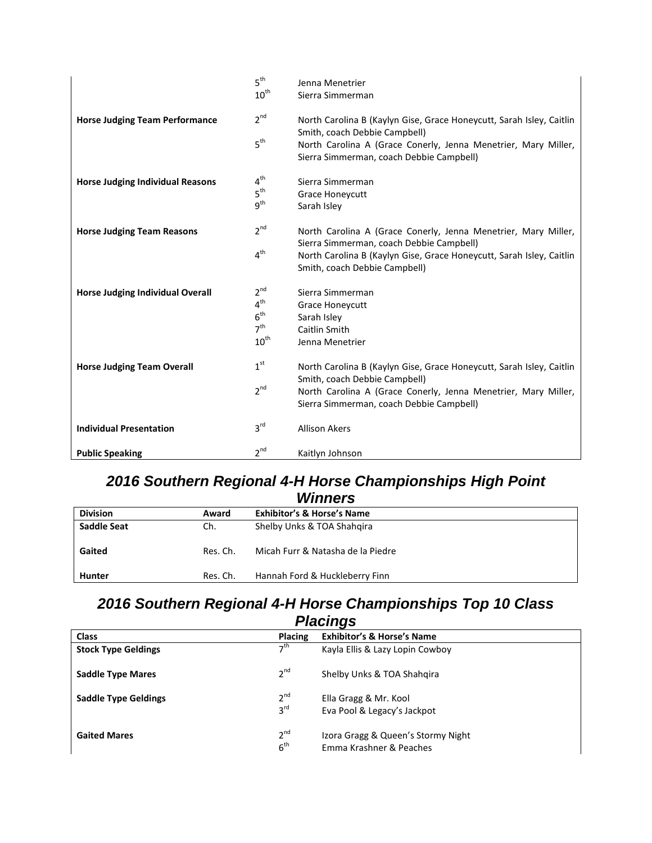|                                         | 5 <sup>th</sup>  | Jenna Menetrier                                                                                            |
|-----------------------------------------|------------------|------------------------------------------------------------------------------------------------------------|
|                                         | $10^{\text{th}}$ | Sierra Simmerman                                                                                           |
| <b>Horse Judging Team Performance</b>   | $2^{nd}$         | North Carolina B (Kaylyn Gise, Grace Honeycutt, Sarah Isley, Caitlin                                       |
|                                         |                  | Smith, coach Debbie Campbell)                                                                              |
|                                         | 5 <sup>th</sup>  | North Carolina A (Grace Conerly, Jenna Menetrier, Mary Miller,<br>Sierra Simmerman, coach Debbie Campbell) |
| <b>Horse Judging Individual Reasons</b> | $4^{\text{th}}$  | Sierra Simmerman                                                                                           |
|                                         | $5^{\text{th}}$  | Grace Honeycutt                                                                                            |
|                                         | $q^{th}$         | Sarah Isley                                                                                                |
| <b>Horse Judging Team Reasons</b>       | 2 <sup>nd</sup>  | North Carolina A (Grace Conerly, Jenna Menetrier, Mary Miller,                                             |
|                                         |                  | Sierra Simmerman, coach Debbie Campbell)                                                                   |
|                                         | 4 <sup>th</sup>  | North Carolina B (Kaylyn Gise, Grace Honeycutt, Sarah Isley, Caitlin                                       |
|                                         |                  | Smith, coach Debbie Campbell)                                                                              |
| <b>Horse Judging Individual Overall</b> | $2^{nd}$         | Sierra Simmerman                                                                                           |
|                                         | 4 <sup>th</sup>  | <b>Grace Honeycutt</b>                                                                                     |
|                                         | $6^{\text{th}}$  | Sarah Isley                                                                                                |
|                                         | 7 <sup>th</sup>  | Caitlin Smith                                                                                              |
|                                         | $10^{\text{th}}$ | Jenna Menetrier                                                                                            |
| <b>Horse Judging Team Overall</b>       | 1 <sup>st</sup>  | North Carolina B (Kaylyn Gise, Grace Honeycutt, Sarah Isley, Caitlin                                       |
|                                         |                  | Smith, coach Debbie Campbell)                                                                              |
|                                         | 2 <sup>nd</sup>  | North Carolina A (Grace Conerly, Jenna Menetrier, Mary Miller,                                             |
|                                         |                  | Sierra Simmerman, coach Debbie Campbell)                                                                   |
| <b>Individual Presentation</b>          | 3 <sup>rd</sup>  | <b>Allison Akers</b>                                                                                       |
| <b>Public Speaking</b>                  | 2 <sup>nd</sup>  | Kaitlyn Johnson                                                                                            |

#### *2016 Southern Regional 4-H Horse Championships High Point Winners*

| <b>Division</b> | Award    | ,,,,,,,,,,<br><b>Exhibitor's &amp; Horse's Name</b> |
|-----------------|----------|-----------------------------------------------------|
| Saddle Seat     | Ch.      | Shelby Unks & TOA Shahgira                          |
| Gaited          | Res. Ch. | Micah Furr & Natasha de la Piedre                   |
| Hunter          | Res. Ch. | Hannah Ford & Huckleberry Finn                      |

#### *2016 Southern Regional 4-H Horse Championships Top 10 Class Placings*

|                             |                             | ີ                                                             |
|-----------------------------|-----------------------------|---------------------------------------------------------------|
| <b>Class</b>                | <b>Placing</b>              | <b>Exhibitor's &amp; Horse's Name</b>                         |
| <b>Stock Type Geldings</b>  | 7 <sup>th</sup>             | Kayla Ellis & Lazy Lopin Cowboy                               |
| <b>Saddle Type Mares</b>    | $2^{nd}$                    | Shelby Unks & TOA Shahgira                                    |
| <b>Saddle Type Geldings</b> | $2^{nd}$<br>$3^{\text{rd}}$ | Ella Gragg & Mr. Kool<br>Eva Pool & Legacy's Jackpot          |
| <b>Gaited Mares</b>         | $2^{nd}$<br>6 <sup>th</sup> | Izora Gragg & Queen's Stormy Night<br>Emma Krashner & Peaches |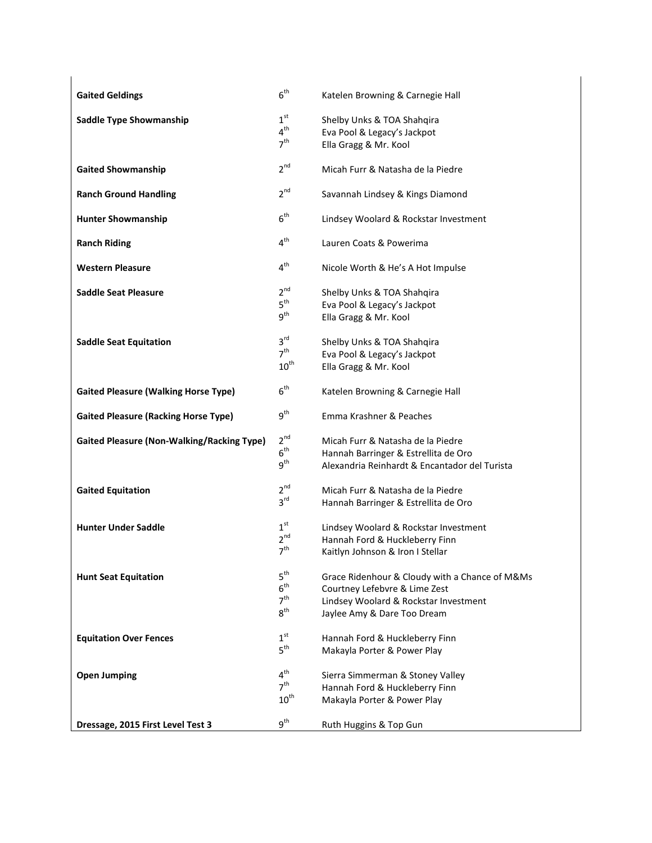| <b>Gaited Geldings</b>                            | 6 <sup>th</sup>                                                          | Katelen Browning & Carnegie Hall                                                                                                                        |
|---------------------------------------------------|--------------------------------------------------------------------------|---------------------------------------------------------------------------------------------------------------------------------------------------------|
| <b>Saddle Type Showmanship</b>                    | 1 <sup>st</sup><br>4 <sup>th</sup><br>7 <sup>th</sup>                    | Shelby Unks & TOA Shahqira<br>Eva Pool & Legacy's Jackpot<br>Ella Gragg & Mr. Kool                                                                      |
| <b>Gaited Showmanship</b>                         | 2 <sup>nd</sup>                                                          | Micah Furr & Natasha de la Piedre                                                                                                                       |
| <b>Ranch Ground Handling</b>                      | 2 <sup>nd</sup>                                                          | Savannah Lindsey & Kings Diamond                                                                                                                        |
| <b>Hunter Showmanship</b>                         | 6 <sup>th</sup>                                                          | Lindsey Woolard & Rockstar Investment                                                                                                                   |
| <b>Ranch Riding</b>                               | 4 <sup>th</sup>                                                          | Lauren Coats & Powerima                                                                                                                                 |
| <b>Western Pleasure</b>                           | 4 <sup>th</sup>                                                          | Nicole Worth & He's A Hot Impulse                                                                                                                       |
| <b>Saddle Seat Pleasure</b>                       | $2^{nd}$<br>5 <sup>th</sup><br>g <sup>th</sup>                           | Shelby Unks & TOA Shahqira<br>Eva Pool & Legacy's Jackpot<br>Ella Gragg & Mr. Kool                                                                      |
| <b>Saddle Seat Equitation</b>                     | 3 <sup>rd</sup><br>7 <sup>th</sup><br>$10^{\rm th}$                      | Shelby Unks & TOA Shahqira<br>Eva Pool & Legacy's Jackpot<br>Ella Gragg & Mr. Kool                                                                      |
| <b>Gaited Pleasure (Walking Horse Type)</b>       | 6 <sup>th</sup>                                                          | Katelen Browning & Carnegie Hall                                                                                                                        |
| <b>Gaited Pleasure (Racking Horse Type)</b>       | 9 <sup>th</sup>                                                          | Emma Krashner & Peaches                                                                                                                                 |
| <b>Gaited Pleasure (Non-Walking/Racking Type)</b> | 2 <sup>nd</sup><br>6 <sup>th</sup><br>9 <sup>th</sup>                    | Micah Furr & Natasha de la Piedre<br>Hannah Barringer & Estrellita de Oro<br>Alexandria Reinhardt & Encantador del Turista                              |
| <b>Gaited Equitation</b>                          | $2^{nd}$<br>3 <sup>rd</sup>                                              | Micah Furr & Natasha de la Piedre<br>Hannah Barringer & Estrellita de Oro                                                                               |
| <b>Hunter Under Saddle</b>                        | 1 <sup>st</sup><br>$2^{nd}$<br>7 <sup>th</sup>                           | Lindsey Woolard & Rockstar Investment<br>Hannah Ford & Huckleberry Finn<br>Kaitlyn Johnson & Iron I Stellar                                             |
| <b>Hunt Seat Equitation</b>                       | 5 <sup>th</sup><br>6 <sup>th</sup><br>7 <sup>th</sup><br>$8^{\text{th}}$ | Grace Ridenhour & Cloudy with a Chance of M&Ms<br>Courtney Lefebvre & Lime Zest<br>Lindsey Woolard & Rockstar Investment<br>Jaylee Amy & Dare Too Dream |
| <b>Equitation Over Fences</b>                     | 1 <sup>st</sup><br>5 <sup>th</sup>                                       | Hannah Ford & Huckleberry Finn<br>Makayla Porter & Power Play                                                                                           |
| <b>Open Jumping</b>                               | 4 <sup>th</sup><br>7 <sup>th</sup><br>$10^{\rm th}$                      | Sierra Simmerman & Stoney Valley<br>Hannah Ford & Huckleberry Finn<br>Makayla Porter & Power Play                                                       |
| Dressage, 2015 First Level Test 3                 | 9 <sup>th</sup>                                                          | Ruth Huggins & Top Gun                                                                                                                                  |